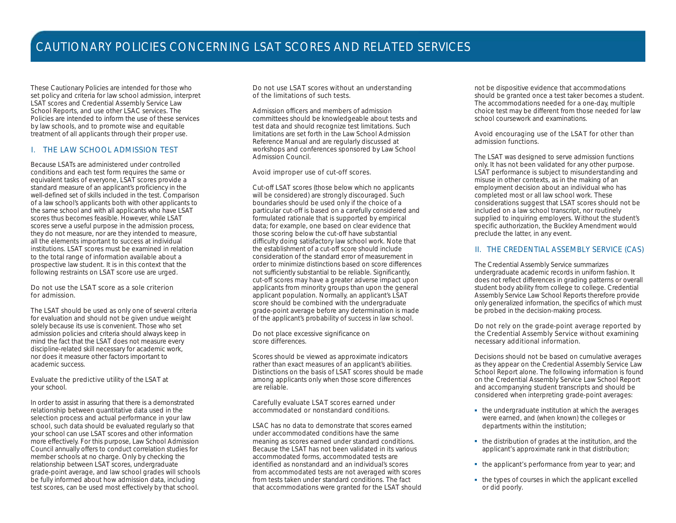These Cautionary Policies are intended for those who set policy and criteria for law school admission, interpret LSAT scores and Credential Assembly Service Law School Reports, and use other LSAC services. The Policies are intended to inform the use of these services by law schools, and to promote wise and equitable treatment of all applicants through their proper use.

### I. THE LAW SCHOOL ADMISSION TEST

Because LSATs are administered under controlled conditions and each test form requires the same or equivalent tasks of everyone, LSAT scores provide a standard measure of an applicant's proficiency in the well-defined set of skills included in the test. Comparison of a law school's applicants both with other applicants to the same school and with all applicants who have LSAT scores thus becomes feasible. However, while LSAT scores serve a useful purpose in the admission process, they do not measure, nor are they intended to measure, all the elements important to success at individual institutions. LSAT scores must be examined in relation to the total range of information available about a prospective law student. It is in this context that the following restraints on LSAT score use are urged.

Do not use the LSAT score as a sole criterion for admission

The LSAT should be used as only one of several criteria for evaluation and should not be given undue weight solely because its use is convenient. Those who set admission policies and criteria should always keep in mind the fact that the LSAT does not measure every discipline-related skill necessary for academic work, nor does it measure other factors important to aca demic success.

Evaluate the predictive utility of the LSAT at your school.

In order to assist in assuring that there is a demonstrated relationship between quantitative data used in the selection process and actual performance in your law school, such data should be evaluated regularly so that your school can use LSAT scores and other information more effectively. For this purpose, Law School Admission Council annually offers to conduct correlation studies for member schools at no charge. Only by checking the relationship between LSAT scores, undergraduate grade-point average, and law school grades will schools be fully informed about how admission data, including test scores, can be used most effectively by that school.

Do not use LSAT scores without an understanding of the limitations of such tests.

Admission officers and members of admission committees should be knowledgeable about tests and test data and should recognize test limitations. Such limitations are set forth in the *Law School Admission* Reference Manual and are regularly discussed at workshops and conferences sponsored by Law School Admission Council.

#### Avoid improper use of cut-off scores.

Cut-off LSAT scores (those below which no applicants will be considered) are strongly discouraged. Such boundaries should be used only if the choice of a particular cut-off is based on a carefully considered and formulated rationale that is supported by empirical data; for example, one based on clear evidence that those scoring below the cut-off have substantial difficulty doing satisfactory law school work. Note that the establishment of a cut-off score should include consideration of the standard error of measurement in order to minimize distinctions based on score differences not sufficiently substantial to be reliable. Significantly, cut-off scores may have a greater adverse impact upon applicants from minority groups than upon the general applicant population. Normally, an applicant's LSAT score should be combined with the undergraduate grade-point average before any determination is made of the applicant's probability of success in law school.

Do not place excessive significance on score differences.

Scores should be viewed as approximate indicators rather than exact measures of an applicant's abilities. Distinctions on the basis of LSAT scores should be made among applicants only when those score differences are reliable.

Carefully evaluate LSAT scores earned under accommodated or nonstandard conditions.

LSAC has no data to demonstrate that scores earned under accommodated conditions have the same meaning as scores earned under standard conditions. Because the LSAT has not been validated in its various accommodated forms, accommodated tests are identified as nonstandard and an individual's scores from accommodated tests are not averaged with scores from tests taken under standard conditions. The fact that accommodations were granted for the LSAT should not be dispositive evidence that accommodations should be granted once a test taker becomes a student. The accommodations needed for a one-day, multiple choice test may be different from those needed for law school coursework and examinations.

Avoid encouraging use of the LSAT for other than admission functions.

The LSAT was designed to serve admission functions only. It has not been validated for any other purpose. LSAT performance is subject to misunderstanding and misuse in other contexts, as in the making of an employment decision about an individual who has completed most or all law school work. These considerations suggest that LSAT scores should not be included on a law school transcript, nor routinely supplied to inquiring employers. Without the student's specific authorization, the Buckley Amendment would preclude the latter, in any event.

#### II. THE CREDENTIAL ASSEMBLY SERVICE (CAS)

The Credential Assembly Service summarizes undergraduate academic records in uniform fashion. It does not reflect differences in grading patterns or overall student body ability from college to college. Credential Assembly Service Law School Reports therefore provide only generalized information, the specifics of which must be probed in the decision-making process.

Do not rely on the grade-point average reported by the Credential Assembly Service without examining necessary additional information.

Decisions should not be based on cumulative averages as they appear on the Credential Assembly Service Law School Report alone. The following information is found on the Credential Assembly Service Law School Report and accompanying student transcripts and should be considered when interpreting grade-point averages:

- the undergraduate institution at which the averages were earned, and (when known) the colleges or departments within the institution;
- the distribution of grades at the institution, and the applicant's approximate rank in that distribution;
- the applicant's performance from year to year; and
- $\blacksquare$  the types of courses in which the applicant excelled or did poorly.